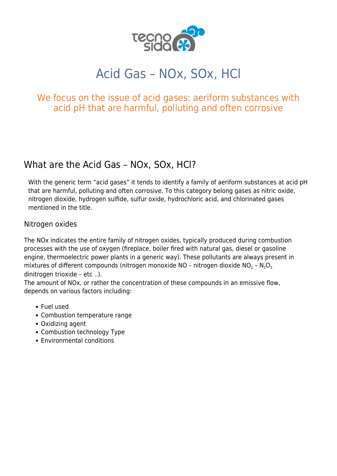

# Acid Gas – NOx, SOx, HCl

## We focus on the issue of acid gases: aeriform substances with acid pH that are harmful, polluting and often corrosive

# What are the Acid Gas – NOx, SOx, HCl?

With the generic term "acid gases" it tends to identify a family of aeriform substances at acid pH that are harmful, polluting and often corrosive. To this category belong gases as nitric oxide, nitrogen dioxide, hydrogen sulfide, sulfur oxide, hydrochloric acid, and chlorinated gases mentioned in the title.

#### Nitrogen oxides

The NOx indicates the entire family of nitrogen oxides, typically produced during combustion processes with the use of oxygen (fireplace, boiler fired with natural gas, diesel or gasoline engine, thermoelectric power plants in a generic way). These pollutants are always present in mixtures of different compounds (nitrogen monoxide NO – nitrogen dioxide NO $_2$  – N $_2$ O $_3$ dinitrogen trioxide – etc ..).

The amount of NOx, or rather the concentration of these compounds in an emissive flow, depends on various factors including:

- Fuel used
- Combustion temperature range
- Oxidizing agent
- Combustion technology Type
- Environmental conditions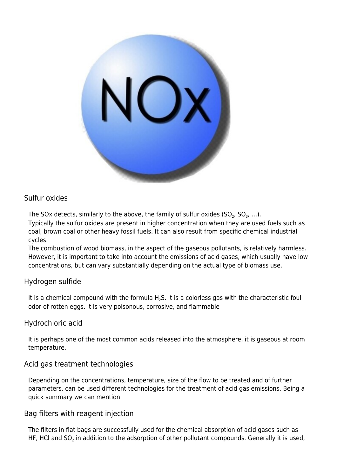

### Sulfur oxides

The SOx detects, similarly to the above, the family of sulfur oxides (SO<sub>2</sub>, SO<sub>3</sub>, ...).

Typically the sulfur oxides are present in higher concentration when they are used fuels such as coal, brown coal or other heavy fossil fuels. It can also result from specific chemical industrial cycles.

The [combustion](https://www.tecnosida.com/biomass-combustion-plants-and-by-products) of wood [biomass,](https://www.tecnosida.com/wood-biomass-quality-energy-density) in the aspect of the gaseous pollutants, is relatively harmless. However, it is important to take into account the emissions of acid gases, which usually have low concentrations, but can vary substantially depending on the actual type of biomass use.

#### Hydrogen sulfide

It is a chemical compound with the formula  $H_2S$ . It is a colorless gas with the characteristic foul odor of rotten eggs. It is very poisonous, corrosive, and flammable

#### Hydrochloric acid

It is perhaps one of the most common acids released into the atmosphere, it is gaseous at room temperature.

#### Acid gas treatment technologies

Depending on the concentrations, temperature, size of the flow to be treated and of further parameters, can be used different technologies for the treatment of acid gas emissions. Being a quick summary we can mention:

#### Bag filters with reagent injection

The [filters in flat bags](http://www.tecnosida.com/56/Dustdown_Bag_filter_cartridges_Reverse_jet_dust) are successfully used for the chemical absorption of acid gases such as HF, HCI and SO<sub>2</sub> in addition to the adsorption of other pollutant compounds. Generally it is used,